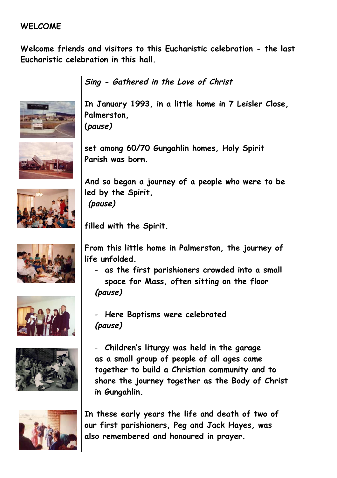## **WELCOME**

**Welcome friends and visitors to this Eucharistic celebration - the last Eucharistic celebration in this hall.**



**Sing - Gathered in the Love of Christ**

**In January 1993, in a little home in 7 Leisler Close, Palmerston, (pause)**



**set among 60/70 Gungahlin homes, Holy Spirit Parish was born.**



**And so began a journey of a people who were to be led by the Spirit, (pause)**

**filled with the Spirit.**



**From this little home in Palmerston, the journey of life unfolded.**

- **as the first parishioners crowded into a small space for Mass, often sitting on the floor (pause)**



- **Here Baptisms were celebrated (pause)**



- **Children's liturgy was held in the garage as a small group of people of all ages came together to build a Christian community and to share the journey together as the Body of Christ in Gungahlin.**



**In these early years the life and death of two of our first parishioners, Peg and Jack Hayes, was also remembered and honoured in prayer.**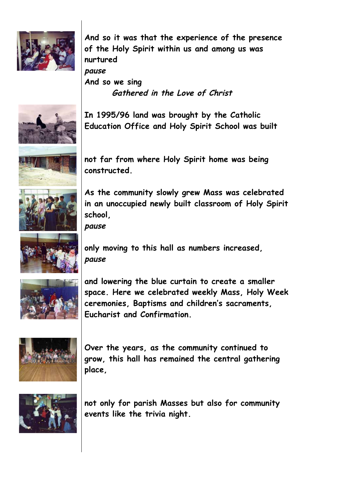

**And so it was that the experience of the presence of the Holy Spirit within us and among us was nurtured pause And so we sing Gathered in the Love of Christ**



**In 1995/96 land was brought by the Catholic Education Office and Holy Spirit School was built**



**not far from where Holy Spirit home was being constructed.**



**As the community slowly grew Mass was celebrated in an unoccupied newly built classroom of Holy Spirit school,**

**pause**



**only moving to this hall as numbers increased, pause**



**and lowering the blue curtain to create a smaller space. Here we celebrated weekly Mass, Holy Week ceremonies, Baptisms and children's sacraments, Eucharist and Confirmation.**



**Over the years, as the community continued to grow, this hall has remained the central gathering place,** 



**not only for parish Masses but also for community events like the trivia night.**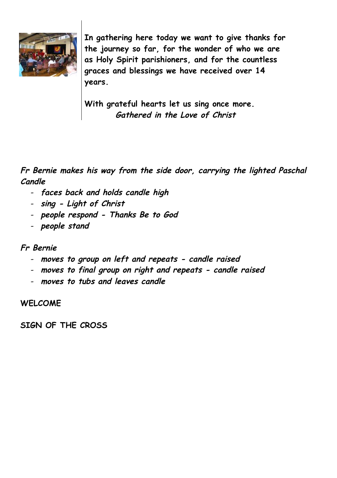

**In gathering here today we want to give thanks for the journey so far, for the wonder of who we are as Holy Spirit parishioners, and for the countless graces and blessings we have received over 14 years.**

**With grateful hearts let us sing once more. Gathered in the Love of Christ**

**Fr Bernie makes his way from the side door, carrying the lighted Paschal Candle**

- **faces back and holds candle high**
- **sing - Light of Christ**
- **people respond - Thanks Be to God**
- **people stand**

## **Fr Bernie**

- **moves to group on left and repeats - candle raised**
- **moves to final group on right and repeats - candle raised**
- **moves to tubs and leaves candle**

## **WELCOME**

**SIGN OF THE CROSS**